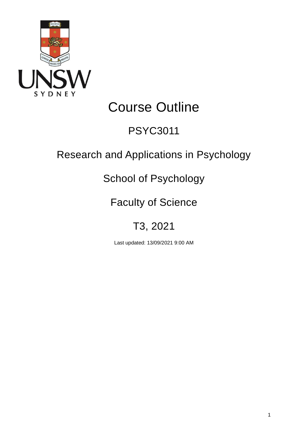

# Course Outline

# PSYC3011

# Research and Applications in Psychology

# School of Psychology

# Faculty of Science

# T3, 2021

Last updated: 13/09/2021 9:00 AM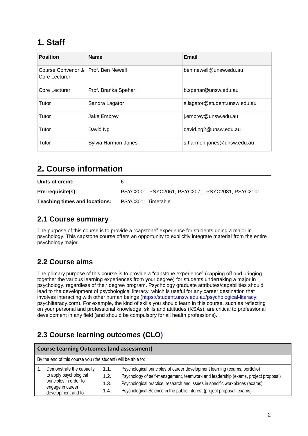## **1. Staff**

| <b>Position</b>                    | <b>Name</b>         | <b>Email</b>                  |
|------------------------------------|---------------------|-------------------------------|
| Course Convenor &<br>Core Lecturer | Prof. Ben Newell    | ben.newell@unsw.edu.au        |
| Core Lecturer                      | Prof. Branka Spehar | b.spehar@unsw.edu.au          |
| Tutor                              | Sandra Lagator      | s.lagator@student.unsw.edu.au |
| Tutor                              | Jake Embrey         | j.embrey@unsw.edu.au          |
| Tutor                              | David Ng            | david.ng2@unsw.edu.au         |
| Tutor                              | Sylvia Harmon-Jones | s.harmon-jones@unsw.edu.au    |

## **2. Course information**

| Units of credit:                     | 6                                                |
|--------------------------------------|--------------------------------------------------|
| Pre-requisite(s):                    | PSYC2001, PSYC2061, PSYC2071, PSYC2081, PSYC2101 |
| <b>Teaching times and locations:</b> | PSYC3011 Timetable                               |

### **2.1 Course summary**

The purpose of this course is to provide a "capstone" experience for students doing a major in psychology. This capstone course offers an opportunity to explicitly integrate material from the entire psychology major.

### **2.2 Course aims**

The primary purpose of this course is to provide a "capstone experience" (capping off and bringing together the various learning experiences from your degree) for students undertaking a major in psychology, regardless of their degree program. Psychology graduate attributes/capabilities should lead to the development of psychological literacy, which is useful for any career destination that involves interacting with other human beings [\(https://student.unsw.edu.au/psychological-literacy;](https://student.unsw.edu.au/psychological-literacy) psychliteracy.com). For example, the kind of skills you should learn in this course, such as reflecting on your personal and professional knowledge, skills and attitudes (KSAs), are critical to professional development in any field (and should be compulsory for all health professions).

# **2.3 Course learning outcomes (CLO)**

| <b>Course Learning Outcomes (and assessment)</b>                                                                       |                              |                                                                                                                                                                                                                                                                                                                        |  |  |  |
|------------------------------------------------------------------------------------------------------------------------|------------------------------|------------------------------------------------------------------------------------------------------------------------------------------------------------------------------------------------------------------------------------------------------------------------------------------------------------------------|--|--|--|
| By the end of this course you (the student) will be able to:                                                           |                              |                                                                                                                                                                                                                                                                                                                        |  |  |  |
| Demonstrate the capacity<br>to apply psychological<br>principles in order to<br>engage in career<br>development and to | 1.1.<br>1.2.<br>1.3.<br>1.4. | Psychological principles of career development learning (exams, portfolio)<br>Psychology of self-management, teamwork and leadership (exams, project proposal)<br>Psychological practice, research and issues in specific workplaces (exams)<br>Psychological Science in the public interest (project proposal, exams) |  |  |  |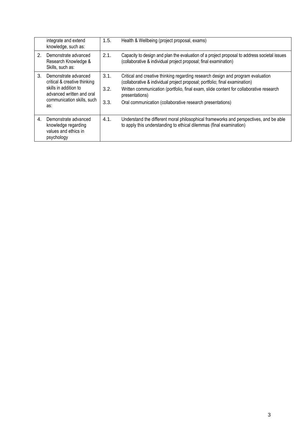|    | integrate and extend<br>knowledge, such as:                                                                                                     | 1.5.                 | Health & Wellbeing (project proposal, exams)                                                                                                                                                                                                                                                                                            |
|----|-------------------------------------------------------------------------------------------------------------------------------------------------|----------------------|-----------------------------------------------------------------------------------------------------------------------------------------------------------------------------------------------------------------------------------------------------------------------------------------------------------------------------------------|
| 2. | Demonstrate advanced<br>Research Knowledge &<br>Skills, such as:                                                                                | 2.1.                 | Capacity to design and plan the evaluation of a project proposal to address societal issues<br>(collaborative & individual project proposal; final examination)                                                                                                                                                                         |
| 3. | Demonstrate advanced<br>critical & creative thinking<br>skills in addition to<br>advanced written and oral<br>communication skills, such<br>as: | 3.1.<br>3.2.<br>3.3. | Critical and creative thinking regarding research design and program evaluation<br>(collaborative & individual project proposal; portfolio; final examination)<br>Written communication (portfolio, final exam, slide content for collaborative research<br>presentations)<br>Oral communication (collaborative research presentations) |
| 4. | Demonstrate advanced<br>knowledge regarding<br>values and ethics in<br>psychology                                                               | 4.1.                 | Understand the different moral philosophical frameworks and perspectives, and be able<br>to apply this understanding to ethical dilemmas (final examination)                                                                                                                                                                            |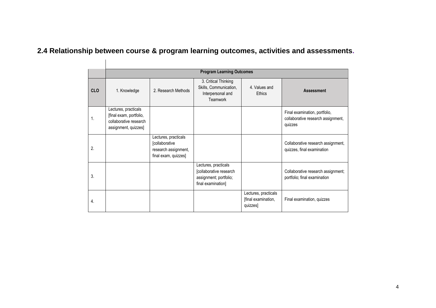# **2.4 Relationship between course & program learning outcomes, activities and assessments.**

|            |                                                                                                   |                                                                                        | <b>Program Learning Outcomes</b>                                                                |                                                         |                                                                                |
|------------|---------------------------------------------------------------------------------------------------|----------------------------------------------------------------------------------------|-------------------------------------------------------------------------------------------------|---------------------------------------------------------|--------------------------------------------------------------------------------|
| <b>CLO</b> | 1. Knowledge                                                                                      | 2. Research Methods                                                                    | 3. Critical Thinking<br>Skills, Communication,<br>Interpersonal and<br>Teamwork                 | 4. Values and<br>Ethics                                 | <b>Assessment</b>                                                              |
| 1.         | Lectures, practicals<br>[final exam, portfolio,<br>collaborative research<br>assignment, quizzes] |                                                                                        |                                                                                                 |                                                         | Final examination, portfolio,<br>collaborative research assignment,<br>quizzes |
| 2.         |                                                                                                   | Lectures, practicals<br>[collaborative<br>research assignment,<br>final exam, quizzes] |                                                                                                 |                                                         | Collaborative research assignment,<br>quizzes, final examination               |
| 3.         |                                                                                                   |                                                                                        | Lectures, practicals<br>[collaborative research<br>assignment; portfolio;<br>final examination] |                                                         | Collaborative research assignment;<br>portfolio; final examination             |
| 4.         |                                                                                                   |                                                                                        |                                                                                                 | Lectures, practicals<br>[final examination,<br>quizzes] | Final examination, quizzes                                                     |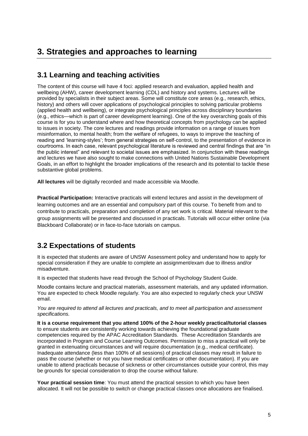## **3. Strategies and approaches to learning**

### **3.1 Learning and teaching activities**

The content of this course will have 4 foci: applied research and evaluation, applied health and wellbeing (AHW), career development learning (CDL) and history and systems. Lectures will be provided by specialists in their subject areas. Some will constitute core areas (e.g., research, ethics, history) and others will cover applications of psychological principles to solving particular problems (applied health and wellbeing), or integrate psychological principles across disciplinary boundaries (e.g., ethics—which is part of career development learning). One of the key overarching goals of this course is for you to understand where and how theoretical concepts from psychology can be applied to issues in society. The core lectures and readings provide information on a range of issues from misinformation, to mental health; from the welfare of refugees, to ways to improve the teaching of reading and 'learning-styles'; from general strategies on self-control, to the presentation of evidence in courtrooms. In each case, relevant psychological literature is reviewed and central findings that are "in the public interest" and relevant to societal issues are emphasized. In conjunction with these readings and lectures we have also sought to make connections with United Nations Sustainable Development Goals, in an effort to highlight the broader implications of the research and its potential to tackle these substantive global problems.

**All lectures** will be digitally recorded and made accessible via Moodle.

**Practical Participation:** Interactive practicals will extend lectures and assist in the development of learning outcomes and are an essential and compulsory part of this course. To benefit from and to contribute to practicals, preparation and completion of any set work is critical. Material relevant to the group assignments will be presented and discussed in practicals. Tutorials will occur either online (via Blackboard Collaborate) or in face-to-face tutorials on campus.

### **3.2 Expectations of students**

It is expected that students are aware of UNSW Assessment policy and understand how to apply for special consideration if they are unable to complete an assignment/exam due to illness and/or misadventure.

It is expected that students have read through the School of Psychology Student Guide.

Moodle contains lecture and practical materials, assessment materials, and any updated information. You are expected to check Moodle regularly. You are also expected to regularly check your UNSW email.

*You are required to attend all lectures and practicals, and to meet all participation and assessment specifications.* 

**It is a course requirement that you attend 100% of the 2-hour weekly practical/tutorial classes** to ensure students are consistently working towards achieving the foundational graduate competencies required by the APAC Accreditation Standards. These Accreditation Standards are incorporated in Program and Course Learning Outcomes. Permission to miss a practical will only be granted in extenuating circumstances and will require documentation (e.g., medical certificate). Inadequate attendance (less than 100% of all sessions) of practical classes may result in failure to pass the course (whether or not you have medical certificates or other documentation). If you are unable to attend practicals because of sickness or other circumstances outside your control, this may be grounds for special consideration to drop the course without failure.

**Your practical session time**: You must attend the practical session to which you have been allocated. It will not be possible to switch or change practical classes once allocations are finalised.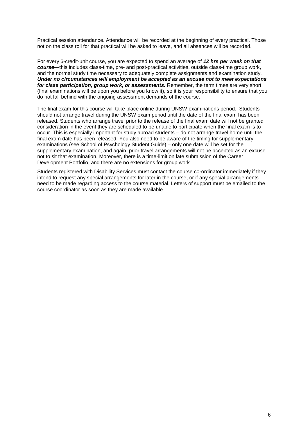Practical session attendance. Attendance will be recorded at the beginning of every practical. Those not on the class roll for that practical will be asked to leave, and all absences will be recorded.

For every 6-credit-unit course, you are expected to spend an average of *12 hrs per week on that course*—this includes class-time, pre- and post-practical activities, outside class-time group work, and the normal study time necessary to adequately complete assignments and examination study. *Under no circumstances will employment be accepted as an excuse not to meet expectations for class participation, group work, or assessments.* Remember, the term times are very short (final examinations will be upon you before you know it), so it is your responsibility to ensure that you do not fall behind with the ongoing assessment demands of the course.

The final exam for this course will take place online during UNSW examinations period. Students should not arrange travel during the UNSW exam period until the date of the final exam has been released. Students who arrange travel prior to the release of the final exam date will not be granted consideration in the event they are scheduled to be unable to participate when the final exam is to occur. This is especially important for study abroad students – do not arrange travel home until the final exam date has been released. You also need to be aware of the timing for supplementary examinations (see School of Psychology Student Guide) – only one date will be set for the supplementary examination, and again, prior travel arrangements will not be accepted as an excuse not to sit that examination. Moreover, there is a time-limit on late submission of the Career Development Portfolio, and there are no extensions for group work.

Students registered with Disability Services must contact the course co-ordinator immediately if they intend to request any special arrangements for later in the course, or if any special arrangements need to be made regarding access to the course material. Letters of support must be emailed to the course coordinator as soon as they are made available.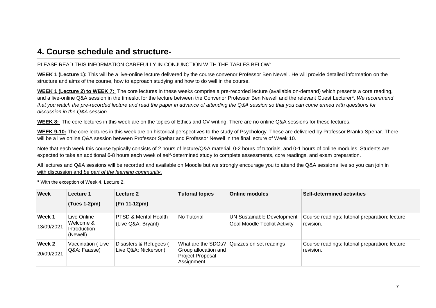### **4. Course schedule and structure-**

#### PLEASE READ THIS INFORMATION CAREFULLY IN CONJUNCTION WITH THE TABLES BELOW:

**WEEK 1 (Lecture 1):** This will be a live-online lecture delivered by the course convenor Professor Ben Newell. He will provide detailed information on the structure and aims of the course, how to approach studying and how to do well in the course.

**WEEK 1 (Lecture 2) to WEEK 7:** The core lectures in these weeks comprise a pre-recorded lecture (available on-demand) which presents a core reading, and a live-online Q&A session in the timeslot for the lecture between the Convenor Professor Ben Newell and the relevant Guest Lecturer\*. *We recommend that you watch the pre-recorded lecture and read the paper in advance of attending the Q&A session so that you can come armed with questions for discussion in the Q&A session.* 

**WEEK 8:** The core lectures in this week are on the topics of Ethics and CV writing. There are no online Q&A sessions for these lectures.

**WEEK 9-10:** The core lectures in this week are on historical perspectives to the study of Psychology. These are delivered by Professor Branka Spehar. There will be a live online Q&A session between Professor Spehar and Professor Newell in the final lecture of Week 10.

Note that each week this course typically consists of 2 hours of lecture/Q&A material, 0-2 hours of tutorials, and 0-1 hours of online modules. Students are expected to take an additional 6-8 hours each week of self-determined study to complete assessments, core readings, and exam preparation.

All lectures and Q&A sessions will be recorded and available on Moodle but we strongly encourage you to attend the Q&A sessions live so you can ioin in with discussion and *be part of the learning community*.

**\*** With the exception of Week 4, Lecture 2.

| <b>Week</b>          | Lecture 1                                            | Lecture 2                                             | <b>Tutorial topics</b>                                 | <b>Online modules</b>                                                    | <b>Self-determined activities</b>                           |
|----------------------|------------------------------------------------------|-------------------------------------------------------|--------------------------------------------------------|--------------------------------------------------------------------------|-------------------------------------------------------------|
|                      | $(Tues 1-2pm)$                                       | (Fri 11-12pm)                                         |                                                        |                                                                          |                                                             |
| Week 1<br>13/09/2021 | Live Online<br>Welcome &<br>Introduction<br>(Newell) | <b>PTSD &amp; Mental Health</b><br>(Live Q&A: Bryant) | No Tutorial                                            | <b>UN Sustainable Development</b><br><b>Goal Moodle Toolkit Activity</b> | Course readings; tutorial preparation; lecture<br>revision. |
| Week 2<br>20/09/2021 | Vaccination (Live<br>Q&A: Faasse)                    | Disasters & Refugees (<br>Live Q&A: Nickerson)        | Group allocation and<br>Project Proposal<br>Assignment | What are the SDGs? Quizzes on set readings                               | Course readings; tutorial preparation; lecture<br>revision. |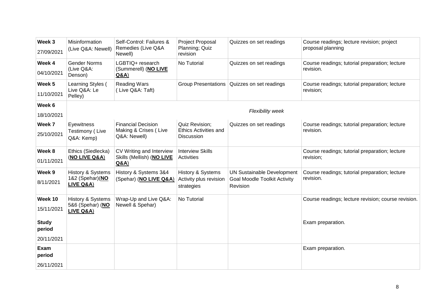| Week 3<br>27/09/2021   | Misinformation<br>(Live Q&A: Newell)               | Self-Control: Failures &<br>Remedies (Live Q&A                     | Project Proposal<br>Planning; Quiz                           | Quizzes on set readings                                                              | Course readings; lecture revision; project<br>proposal planning |
|------------------------|----------------------------------------------------|--------------------------------------------------------------------|--------------------------------------------------------------|--------------------------------------------------------------------------------------|-----------------------------------------------------------------|
| Week 4<br>04/10/2021   | <b>Gender Norms</b><br>(Live Q&A:<br>Denson)       | Newell)<br>LGBTIQ+ research<br>(Summerell) (NO LIVE<br>Q&A)        | revision<br>No Tutorial                                      | Quizzes on set readings                                                              | Course readings; tutorial preparation; lecture<br>revision.     |
| Week 5<br>11/10/2021   | Learning Styles (<br>Live Q&A: Le<br>Pelley)       | <b>Reading Wars</b><br>(Live Q&A: Taft)                            | Group Presentations                                          | Quizzes on set readings                                                              | Course readings; tutorial preparation; lecture<br>revision;     |
| Week 6<br>18/10/2021   |                                                    |                                                                    |                                                              | <b>Flexibility week</b>                                                              |                                                                 |
| Week 7<br>25/10/2021   | Eyewitness<br>Testimony (Live<br>Q&A: Kemp)        | <b>Financial Decision</b><br>Making & Crises (Live<br>Q&A: Newell) | Quiz Revision;<br><b>Ethics Activities and</b><br>Discussion | Quizzes on set readings                                                              | Course readings; tutorial preparation; lecture<br>revision.     |
| Week 8<br>01/11/2021   | Ethics (Siedlecka)<br>(NO LIVE Q&A)                | CV Writing and Interview<br>Skills (Mellish) (NO LIVE<br>Q&A)      | <b>Interview Skills</b><br><b>Activities</b>                 |                                                                                      | Course readings; tutorial preparation; lecture<br>revision;     |
| Week 9<br>8/11/2021    | History & Systems<br>1&2 (Spehar)(NO<br>LIVE Q&A)  | History & Systems 3&4<br>(Spehar) (NO LIVE Q&A)                    | History & Systems<br>Activity plus revision<br>strategies    | <b>UN Sustainable Development</b><br><b>Goal Moodle Toolkit Activity</b><br>Revision | Course readings; tutorial preparation; lecture<br>revision.     |
| Week 10<br>15/11/2021  | History & Systems<br>5&6 (Spehar) (NO<br>LIVE Q&A) | Wrap-Up and Live Q&A:<br>Newell & Spehar)                          | No Tutorial                                                  |                                                                                      | Course readings; lecture revision; course revision.             |
| <b>Study</b><br>period |                                                    |                                                                    |                                                              |                                                                                      | Exam preparation.                                               |
| 20/11/2021             |                                                    |                                                                    |                                                              |                                                                                      |                                                                 |
| Exam<br>period         |                                                    |                                                                    |                                                              |                                                                                      | Exam preparation.                                               |
| 26/11/2021             |                                                    |                                                                    |                                                              |                                                                                      |                                                                 |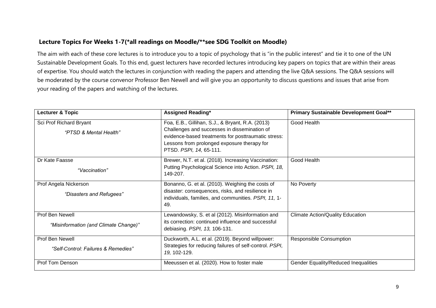#### **Lecture Topics For Weeks 1-7(\*all readings on Moodle/\*\*see SDG Toolkit on Moodle)**

The aim with each of these core lectures is to introduce you to a topic of psychology that is "in the public interest" and tie it to one of the UN Sustainable Development Goals. To this end, guest lecturers have recorded lectures introducing key papers on topics that are within their areas of expertise. You should watch the lectures in conjunction with reading the papers and attending the live Q&A sessions. The Q&A sessions will be moderated by the course convenor Professor Ben Newell and will give you an opportunity to discuss questions and issues that arise from your reading of the papers and watching of the lectures.

| <b>Lecturer &amp; Topic</b>                              | <b>Assigned Reading*</b>                                                                                                                                                                                                          | Primary Sustainable Development Goal**      |
|----------------------------------------------------------|-----------------------------------------------------------------------------------------------------------------------------------------------------------------------------------------------------------------------------------|---------------------------------------------|
| Sci Prof Richard Bryant<br>"PTSD & Mental Health"        | Foa, E.B., Gillihan, S.J., & Bryant, R.A. (2013)<br>Challenges and successes in dissemination of<br>evidence-based treatments for posttraumatic stress:<br>Lessons from prolonged exposure therapy for<br>PTSD. PSPI, 14, 65-111. | Good Health                                 |
| Dr Kate Faasse<br>"Vaccination"                          | Brewer, N.T. et al. (2018). Increasing Vaccination:<br>Putting Psychological Science into Action. PSPI, 18,<br>149-207.                                                                                                           | Good Health                                 |
| Prof Angela Nickerson<br>"Disasters and Refugees"        | Bonanno, G. et al. (2010). Weighing the costs of<br>disaster: consequences, risks, and resilience in<br>individuals, families, and communities. PSPI, 11, 1-<br>49.                                                               | No Poverty                                  |
| Prof Ben Newell<br>"Misinformation (and Climate Change)" | Lewandowsky, S. et al (2012). Misinformation and<br>its correction: continued influence and successful<br>debiasing. PSPI, 13, 106-131.                                                                                           | <b>Climate Action/Quality Education</b>     |
| Prof Ben Newell<br>"Self-Control: Failures & Remedies"   | Duckworth, A.L. et al. (2019). Beyond willpower:<br>Strategies for reducing failures of self-control. PSPI,<br>19, 102-129.                                                                                                       | <b>Responsible Consumption</b>              |
| Prof Tom Denson                                          | Meeussen et al. (2020). How to foster male                                                                                                                                                                                        | <b>Gender Equality/Reduced Inequalities</b> |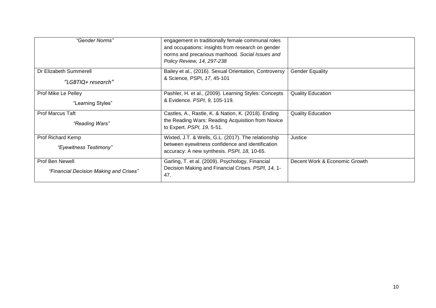| "Gender Norms"                                            | engagement in traditionally female communal roles<br>and occupations: insights from research on gender<br>norms and precarious manhood. Social Issues and<br>Policy Review, 14, 297-238 |                               |
|-----------------------------------------------------------|-----------------------------------------------------------------------------------------------------------------------------------------------------------------------------------------|-------------------------------|
| Dr Elizabeth Summerell<br>"LGBTIQ+ research"              | Bailey et al., (2016). Sexual Orientation, Controversy<br>& Science, PSPI, 17, 45-101                                                                                                   | <b>Gender Equality</b>        |
| Prof Mike Le Pelley<br>"Learning Styles"                  | Pashler, H. et al., (2009). Learning Styles: Concepts<br>& Evidence. PSPI, 9, 105-119.                                                                                                  | <b>Quality Education</b>      |
| <b>Prof Marcus Taft</b><br>"Reading Wars"                 | Castles, A., Rastle, K. & Nation, K. (2018). Ending<br>the Reading Wars: Reading Acquisition from Novice<br>to Expert. PSPI, 19, 5-51.                                                  | <b>Quality Education</b>      |
| Prof Richard Kemp<br>"Eyewitness Testimony"               | Wixted, J.T. & Wells, G.L. (2017). The relationship<br>between eyewitness confidence and identification<br>accuracy: A new synthesis. PSPI, 18, 10-65.                                  | Justice                       |
| Prof Ben Newell<br>"Financial Decision Making and Crises" | Garling, T. et al. (2009). Psychology, Financial<br>Decision Making and Financial Crises. PSPI, 14, 1-<br>47.                                                                           | Decent Work & Economic Growth |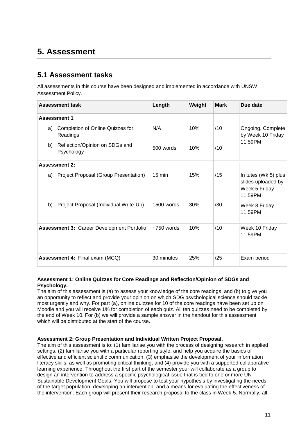## **5. Assessment**

### **5.1 Assessment tasks**

All assessments in this course have been designed and implemented in accordance with UNSW Assessment Policy.

|    | <b>Assessment task</b>                            | Length           | Weight | <b>Mark</b> | Due date                                                               |
|----|---------------------------------------------------|------------------|--------|-------------|------------------------------------------------------------------------|
|    | <b>Assessment 1</b>                               |                  |        |             |                                                                        |
| a) | Completion of Online Quizzes for<br>Readings      | N/A              | 10%    | /10         | Ongoing, Complete<br>by Week 10 Friday                                 |
| b) | Reflection/Opinion on SDGs and<br>Psychology      | $500$ words      | 10%    | /10         | 11.59PM                                                                |
|    | <b>Assessment 2:</b>                              |                  |        |             |                                                                        |
| a) | Project Proposal (Group Presentation)             | $15 \text{ min}$ | 15%    | /15         | In tutes (Wk 5) plus<br>slides uploaded by<br>Week 5 Friday<br>11.59PM |
| b) | Project Proposal (Individual Write-Up)            | 1500 words       | 30%    | /30         | Week 8 Friday<br>11.59PM                                               |
|    | <b>Assessment 3: Career Development Portfolio</b> | $~1$ 750 words   | 10%    | /10         | Week 10 Friday<br>11.59PM                                              |
|    | <b>Assessment 4: Final exam (MCQ)</b>             | 30 minutes       | 25%    | /25         | Exam period                                                            |

#### **Assessment 1: Online Quizzes for Core Readings and Reflection/Opinion of SDGs and Psychology.**

The aim of this assessment is (a) to assess your knowledge of the core readings, and (b) to give you an opportunity to reflect and provide your opinion on which SDG psychological science should tackle most urgently and why. For part (a), online quizzes for 10 of the core readings have been set up on Moodle and you will receive 1% for completion of each quiz. All ten quizzes need to be completed by the end of Week 10. For (b) we will provide a sample answer in the handout for this assessment which will be distributed at the start of the course.

#### **Assessment 2: Group Presentation and Individual Written Project Proposal.**

The aim of this assessment is to: (1) familiarise you with the process of designing research in applied settings, (2) familiarise you with a particular reporting style, and help you acquire the basics of effective and efficient scientific communication, (3) emphasise the development of your information literacy skills, as well as promoting critical thinking, and (4) provide you with a supported collaborative learning experience. Throughout the first part of the semester your will collaborate as a group to design an intervention to address a specific psychological issue that is tied to one or more UN Sustainable Development Goals. You will propose to test your hypothesis by investigating the needs of the target population, developing an intervention, and a means for evaluating the effectiveness of the intervention. Each group will present their research proposal to the class in Week 5. Normally, all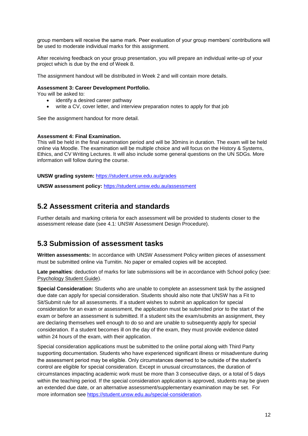group members will receive the same mark. Peer evaluation of your group members' contributions will be used to moderate individual marks for this assignment.

After receiving feedback on your group presentation, you will prepare an individual write-up of your project which is due by the end of Week 8.

The assignment handout will be distributed in Week 2 and will contain more details.

#### **Assessment 3: Career Development Portfolio.**

You will be asked to:

- identify a desired career pathway
- write a CV, cover letter, and interview preparation notes to apply for that job

See the assignment handout for more detail.

#### **Assessment 4: Final Examination.**

This will be held in the final examination period and will be 30mins in duration. The exam will be held online via Moodle. The examination will be multiple choice and will focus on the History & Systems, Ethics, and CV Writing Lectures. It will also include some general questions on the UN SDGs. More information will follow during the course.

#### **UNSW grading system:** <https://student.unsw.edu.au/grades>

**UNSW assessment policy:** <https://student.unsw.edu.au/assessment>

#### **5.2 Assessment criteria and standards**

Further details and marking criteria for each assessment will be provided to students closer to the assessment release date (see 4.1: UNSW Assessment Design Procedure).

#### **5.3 Submission of assessment tasks**

**Written assessments:** In accordance with UNSW Assessment Policy written pieces of assessment must be submitted online via Turnitin. No paper or emailed copies will be accepted.

**Late penalties**: deduction of marks for late submissions will be in accordance with School policy (see: [Psychology Student Guide\)](https://moodle.telt.unsw.edu.au/mod/resource/view.php?id=1630526).

**Special Consideration:** Students who are unable to complete an assessment task by the assigned due date can apply for special consideration. Students should also note that UNSW has a Fit to Sit/Submit rule for all assessments. If a student wishes to submit an application for special consideration for an exam or assessment, the application must be submitted prior to the start of the exam or before an assessment is submitted. If a student sits the exam/submits an assignment, they are declaring themselves well enough to do so and are unable to subsequently apply for special consideration. If a student becomes ill on the day of the exam, they must provide evidence dated within 24 hours of the exam, with their application.

Special consideration applications must be submitted to the online portal along with Third Party supporting documentation. Students who have experienced significant illness or misadventure during the assessment period may be eligible. Only circumstances deemed to be outside of the student's control are eligible for special consideration. Except in unusual circumstances, the duration of circumstances impacting academic work must be more than 3 consecutive days, or a total of 5 days within the teaching period. If the special consideration application is approved, students may be given an extended due date, or an alternative assessment/supplementary examination may be set. For more information see [https://student.unsw.edu.au/special-consideration.](https://student.unsw.edu.au/special-consideration)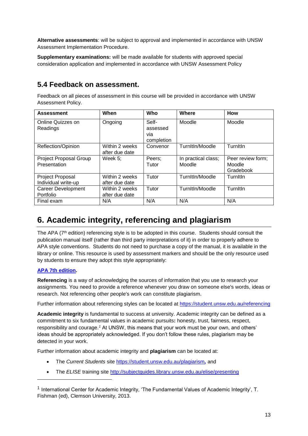**Alternative assessments**: will be subject to approval and implemented in accordance with UNSW Assessment Implementation Procedure.

**Supplementary examinations:** will be made available for students with approved special consideration application and implemented in accordance with UNSW Assessment Policy

### **5.4 Feedback on assessment.**

Feedback on all pieces of assessment in this course will be provided in accordance with UNSW Assessment Policy.

| <b>Assessment</b>             | When                             | Who               | Where               | <b>How</b>        |
|-------------------------------|----------------------------------|-------------------|---------------------|-------------------|
| Online Quizzes on<br>Readings | Ongoing                          | Self-<br>assessed | Moodle              | Moodle            |
|                               |                                  | via               |                     |                   |
|                               |                                  | completion        |                     |                   |
| Reflection/Opinion            | Within 2 weeks<br>after due date | Convenor          | TurnItIn/Moodle     | Turnitin          |
| Project Proposal Group        | Week $5:$                        | Peers;            | In practical class; | Peer review form; |
| Presentation                  |                                  | Tutor             | Moodle              | Moodle            |
|                               |                                  |                   |                     | Gradebook         |
| Project Proposal              | Within 2 weeks                   | Tutor             | TurnItIn/Moodle     | Turnitin          |
| Individual write-up           | after due date                   |                   |                     |                   |
| <b>Career Development</b>     | Within 2 weeks                   | Tutor             | TurnItIn/Moodle     | Turnitin          |
| Portfolio                     | after due date                   |                   |                     |                   |
| Final exam                    | N/A                              | N/A               | N/A                 | N/A               |

# **6. Academic integrity, referencing and plagiarism**

The APA (7<sup>th</sup> edition) referencing style is to be adopted in this course. Students should consult the publication manual itself (rather than third party interpretations of it) in order to properly adhere to APA style conventions. Students do not need to purchase a copy of the manual, it is available in the library or online. This resource is used by assessment markers and should be the only resource used by students to ensure they adopt this style appropriately:

#### **[APA 7th edition.](http://www.apastyle.org/manual/index.aspx)**

l

**Referencing** is a way of acknowledging the sources of information that you use to research your assignments. You need to provide a reference whenever you draw on someone else's words, ideas or research. Not referencing other people's work can constitute plagiarism.

Further information about referencing styles can be located at<https://student.unsw.edu.au/referencing>

**Academic integrity** is fundamental to success at university. Academic integrity can be defined as a commitment to six fundamental values in academic pursuits**:** honesty, trust, fairness, respect, responsibility and courage.*<sup>1</sup>* At UNSW, this means that your work must be your own, and others' ideas should be appropriately acknowledged. If you don't follow these rules, plagiarism may be detected in your work.

Further information about academic integrity and **plagiarism** can be located at:

- The *Current Students* site <https://student.unsw.edu.au/plagiarism>*,* and
- The *ELISE* training site <http://subjectguides.library.unsw.edu.au/elise/presenting>

 $^{\text{1}}$  International Center for Academic Integrity, 'The Fundamental Values of Academic Integrity', T. Fishman (ed), Clemson University, 2013.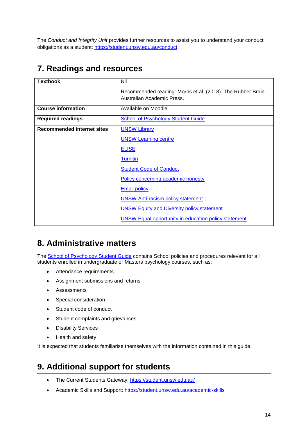The *Conduct and Integrity Unit* provides further resources to assist you to understand your conduct obligations as a student: [https://student.unsw.edu.au/conduct.](https://student.unsw.edu.au/conduct)

## **7. Readings and resources**

| <b>Textbook</b>                   | Nil                                                                                        |
|-----------------------------------|--------------------------------------------------------------------------------------------|
|                                   | Recommended reading: Morris et al. (2018). The Rubber Brain.<br>Australian Academic Press. |
| <b>Course information</b>         | Available on Moodle                                                                        |
| <b>Required readings</b>          | <b>School of Psychology Student Guide.</b>                                                 |
| <b>Recommended internet sites</b> | <b>UNSW Library</b>                                                                        |
|                                   | <b>UNSW Learning centre</b>                                                                |
|                                   | <b>ELISE</b>                                                                               |
|                                   | <b>Turnitin</b>                                                                            |
|                                   | <b>Student Code of Conduct</b>                                                             |
|                                   | Policy concerning academic honesty                                                         |
|                                   | <b>Email policy</b>                                                                        |
|                                   | <b>UNSW Anti-racism policy statement</b>                                                   |
|                                   | <b>UNSW Equity and Diversity policy statement</b>                                          |
|                                   | <b>UNSW Equal opportunity in education policy statement</b>                                |

# **8. Administrative matters**

The [School of Psychology Student Guide](http://psy.unsw.edu.au/sites/all/files/page_file_attachment/2018%20S1%20Psychology%20Student%20Guide_20180130.pdf) contains School policies and procedures relevant for all students enrolled in undergraduate or Masters psychology courses, such as:

- Attendance requirements
- Assignment submissions and returns
- Assessments
- Special consideration
- Student code of conduct
- Student complaints and grievances
- Disability Services
- Health and safety

It is expected that students familiarise themselves with the information contained in this guide.

## **9. Additional support for students**

- The Current Students Gateway:<https://student.unsw.edu.au/>
- Academic Skills and Support:<https://student.unsw.edu.au/academic-skills>